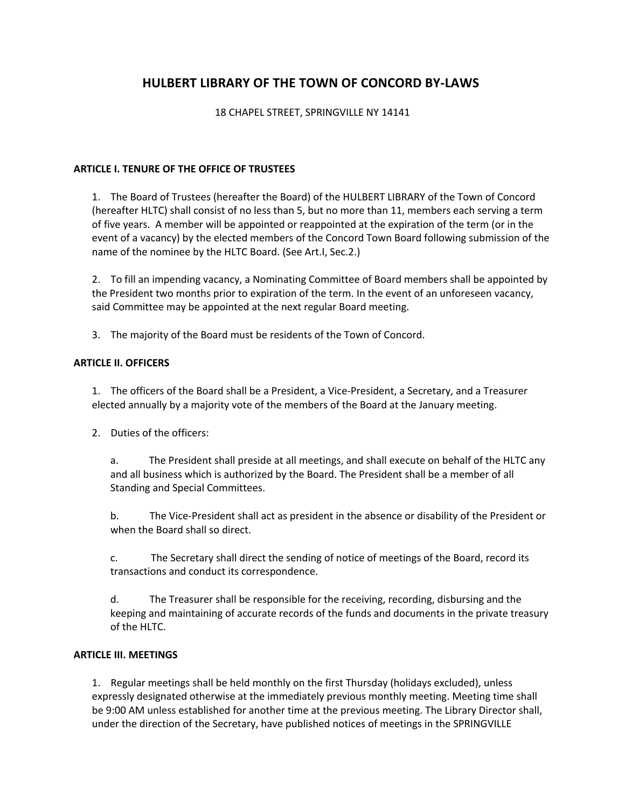# **HULBERT LIBRARY OF THE TOWN OF CONCORD BY-LAWS**

## 18 CHAPEL STREET, SPRINGVILLE NY 14141

### **ARTICLE I. TENURE OF THE OFFICE OF TRUSTEES**

1. The Board of Trustees (hereafter the Board) of the HULBERT LIBRARY of the Town of Concord (hereafter HLTC) shall consist of no less than 5, but no more than 11, members each serving a term of five years. A member will be appointed or reappointed at the expiration of the term (or in the event of a vacancy) by the elected members of the Concord Town Board following submission of the name of the nominee by the HLTC Board. (See Art.I, Sec.2.)

2. To fill an impending vacancy, a Nominating Committee of Board members shall be appointed by the President two months prior to expiration of the term. In the event of an unforeseen vacancy, said Committee may be appointed at the next regular Board meeting.

3. The majority of the Board must be residents of the Town of Concord.

# **ARTICLE II. OFFICERS**

1. The officers of the Board shall be a President, a Vice-President, a Secretary, and a Treasurer elected annually by a majority vote of the members of the Board at the January meeting.

2. Duties of the officers:

a. The President shall preside at all meetings, and shall execute on behalf of the HLTC any and all business which is authorized by the Board. The President shall be a member of all Standing and Special Committees.

b. The Vice-President shall act as president in the absence or disability of the President or when the Board shall so direct.

c. The Secretary shall direct the sending of notice of meetings of the Board, record its transactions and conduct its correspondence.

d. The Treasurer shall be responsible for the receiving, recording, disbursing and the keeping and maintaining of accurate records of the funds and documents in the private treasury of the HLTC.

### **ARTICLE III. MEETINGS**

1. Regular meetings shall be held monthly on the first Thursday (holidays excluded), unless expressly designated otherwise at the immediately previous monthly meeting. Meeting time shall be 9:00 AM unless established for another time at the previous meeting. The Library Director shall, under the direction of the Secretary, have published notices of meetings in the SPRINGVILLE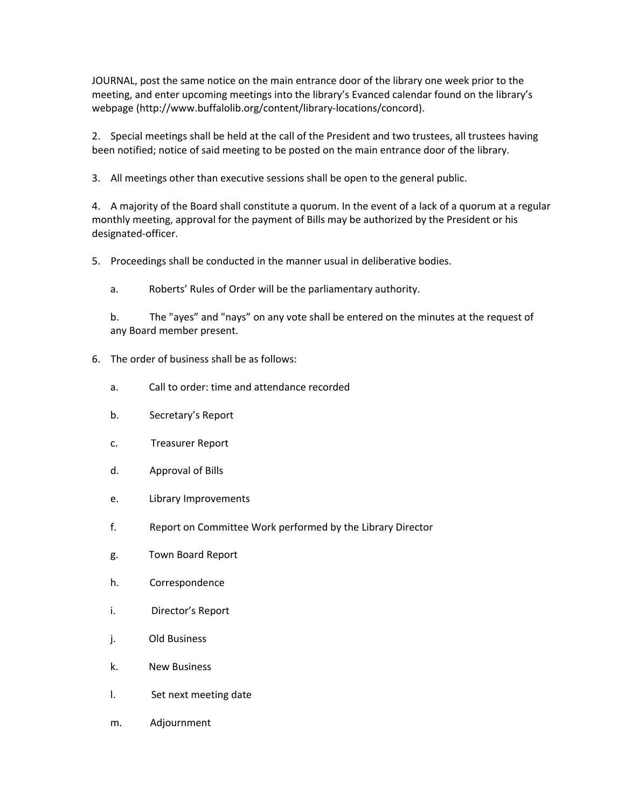JOURNAL, post the same notice on the main entrance door of the library one week prior to the meeting, and enter upcoming meetings into the library's Evanced calendar found on the library's webpage (http://www.buffalolib.org/content/library-locations/concord).

2. Special meetings shall be held at the call of the President and two trustees, all trustees having been notified; notice of said meeting to be posted on the main entrance door of the library.

3. All meetings other than executive sessions shall be open to the general public.

4. A majority of the Board shall constitute a quorum. In the event of a lack of a quorum at a regular monthly meeting, approval for the payment of Bills may be authorized by the President or his designated-officer.

5. Proceedings shall be conducted in the manner usual in deliberative bodies.

a. Roberts' Rules of Order will be the parliamentary authority.

b. The "ayes" and "nays" on any vote shall be entered on the minutes at the request of any Board member present.

- 6. The order of business shall be as follows:
	- a. Call to order: time and attendance recorded
	- b. Secretary's Report
	- c. Treasurer Report
	- d. Approval of Bills
	- e. Library Improvements
	- f. Report on Committee Work performed by the Library Director
	- g. Town Board Report
	- h. Correspondence
	- i. Director's Report
	- j. Old Business
	- k. New Business
	- l. Set next meeting date
	- m. Adjournment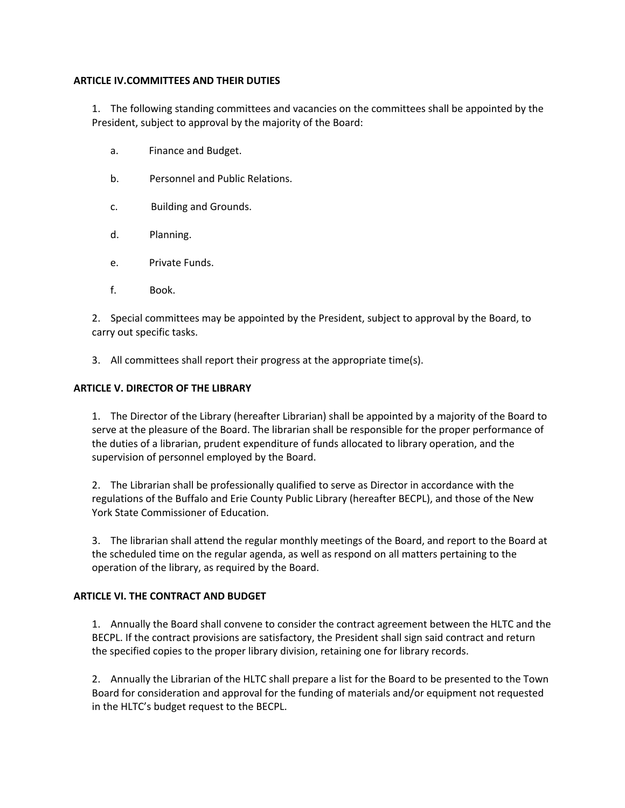### **ARTICLE IV.COMMITTEES AND THEIR DUTIES**

1. The following standing committees and vacancies on the committees shall be appointed by the President, subject to approval by the majority of the Board:

- a. Finance and Budget.
- b. Personnel and Public Relations.
- c. Building and Grounds.
- d. Planning.
- e. Private Funds.
- f. Book.

2. Special committees may be appointed by the President, subject to approval by the Board, to carry out specific tasks.

3. All committees shall report their progress at the appropriate time(s).

### **ARTICLE V. DIRECTOR OF THE LIBRARY**

1. The Director of the Library (hereafter Librarian) shall be appointed by a majority of the Board to serve at the pleasure of the Board. The librarian shall be responsible for the proper performance of the duties of a librarian, prudent expenditure of funds allocated to library operation, and the supervision of personnel employed by the Board.

2. The Librarian shall be professionally qualified to serve as Director in accordance with the regulations of the Buffalo and Erie County Public Library (hereafter BECPL), and those of the New York State Commissioner of Education.

3. The librarian shall attend the regular monthly meetings of the Board, and report to the Board at the scheduled time on the regular agenda, as well as respond on all matters pertaining to the operation of the library, as required by the Board.

### **ARTICLE VI. THE CONTRACT AND BUDGET**

1. Annually the Board shall convene to consider the contract agreement between the HLTC and the BECPL. If the contract provisions are satisfactory, the President shall sign said contract and return the specified copies to the proper library division, retaining one for library records.

2. Annually the Librarian of the HLTC shall prepare a list for the Board to be presented to the Town Board for consideration and approval for the funding of materials and/or equipment not requested in the HLTC's budget request to the BECPL.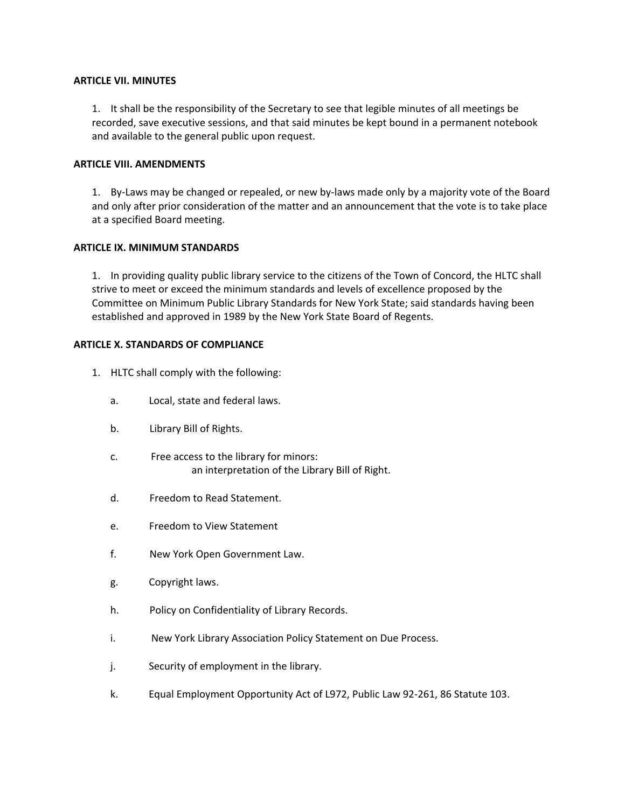#### **ARTICLE VII. MINUTES**

1. It shall be the responsibility of the Secretary to see that legible minutes of all meetings be recorded, save executive sessions, and that said minutes be kept bound in a permanent notebook and available to the general public upon request.

### **ARTICLE VIII. AMENDMENTS**

1. By-Laws may be changed or repealed, or new by-laws made only by a majority vote of the Board and only after prior consideration of the matter and an announcement that the vote is to take place at a specified Board meeting.

### **ARTICLE IX. MINIMUM STANDARDS**

1. In providing quality public library service to the citizens of the Town of Concord, the HLTC shall strive to meet or exceed the minimum standards and levels of excellence proposed by the Committee on Minimum Public Library Standards for New York State; said standards having been established and approved in 1989 by the New York State Board of Regents.

### **ARTICLE X. STANDARDS OF COMPLIANCE**

- 1. HLTC shall comply with the following:
	- a. Local, state and federal laws.
	- b. Library Bill of Rights.
	- c. Free access to the library for minors: an interpretation of the Library Bill of Right.
	- d. Freedom to Read Statement.
	- e. Freedom to View Statement
	- f. New York Open Government Law.
	- g. Copyright laws.
	- h. Policy on Confidentiality of Library Records.
	- i. New York Library Association Policy Statement on Due Process.
	- j. Security of employment in the library.
	- k. Equal Employment Opportunity Act of L972, Public Law 92-261, 86 Statute 103.